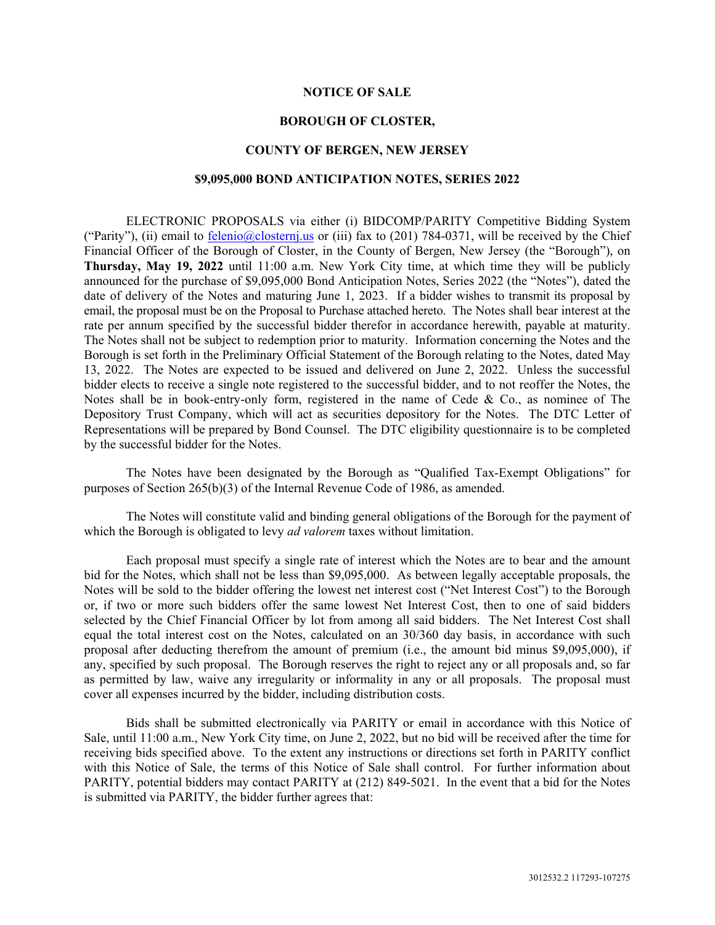#### **NOTICE OF SALE**

#### **BOROUGH OF CLOSTER,**

#### **COUNTY OF BERGEN, NEW JERSEY**

#### **\$9,095,000 BOND ANTICIPATION NOTES, SERIES 2022**

ELECTRONIC PROPOSALS via either (i) BIDCOMP/PARITY Competitive Bidding System ("Parity"), (ii) email to  $\frac{\text{felenio@closternj.us}}{\text{faton@closternj.us}}$  or (iii) fax to (201) 784-0371, will be received by the Chief Financial Officer of the Borough of Closter, in the County of Bergen, New Jersey (the "Borough"), on **Thursday, May 19, 2022** until 11:00 a.m. New York City time, at which time they will be publicly announced for the purchase of \$9,095,000 Bond Anticipation Notes, Series 2022 (the "Notes"), dated the date of delivery of the Notes and maturing June 1, 2023. If a bidder wishes to transmit its proposal by email, the proposal must be on the Proposal to Purchase attached hereto. The Notes shall bear interest at the rate per annum specified by the successful bidder therefor in accordance herewith, payable at maturity. The Notes shall not be subject to redemption prior to maturity. Information concerning the Notes and the Borough is set forth in the Preliminary Official Statement of the Borough relating to the Notes, dated May 13, 2022. The Notes are expected to be issued and delivered on June 2, 2022. Unless the successful bidder elects to receive a single note registered to the successful bidder, and to not reoffer the Notes, the Notes shall be in book-entry-only form, registered in the name of Cede & Co., as nominee of The Depository Trust Company, which will act as securities depository for the Notes. The DTC Letter of Representations will be prepared by Bond Counsel. The DTC eligibility questionnaire is to be completed by the successful bidder for the Notes.

The Notes have been designated by the Borough as "Qualified Tax-Exempt Obligations" for purposes of Section 265(b)(3) of the Internal Revenue Code of 1986, as amended.

The Notes will constitute valid and binding general obligations of the Borough for the payment of which the Borough is obligated to levy *ad valorem* taxes without limitation.

Each proposal must specify a single rate of interest which the Notes are to bear and the amount bid for the Notes, which shall not be less than \$9,095,000. As between legally acceptable proposals, the Notes will be sold to the bidder offering the lowest net interest cost ("Net Interest Cost") to the Borough or, if two or more such bidders offer the same lowest Net Interest Cost, then to one of said bidders selected by the Chief Financial Officer by lot from among all said bidders. The Net Interest Cost shall equal the total interest cost on the Notes, calculated on an 30/360 day basis, in accordance with such proposal after deducting therefrom the amount of premium (i.e., the amount bid minus \$9,095,000), if any, specified by such proposal. The Borough reserves the right to reject any or all proposals and, so far as permitted by law, waive any irregularity or informality in any or all proposals. The proposal must cover all expenses incurred by the bidder, including distribution costs.

Bids shall be submitted electronically via PARITY or email in accordance with this Notice of Sale, until 11:00 a.m., New York City time, on June 2, 2022, but no bid will be received after the time for receiving bids specified above. To the extent any instructions or directions set forth in PARITY conflict with this Notice of Sale, the terms of this Notice of Sale shall control. For further information about PARITY, potential bidders may contact PARITY at (212) 849-5021. In the event that a bid for the Notes is submitted via PARITY, the bidder further agrees that: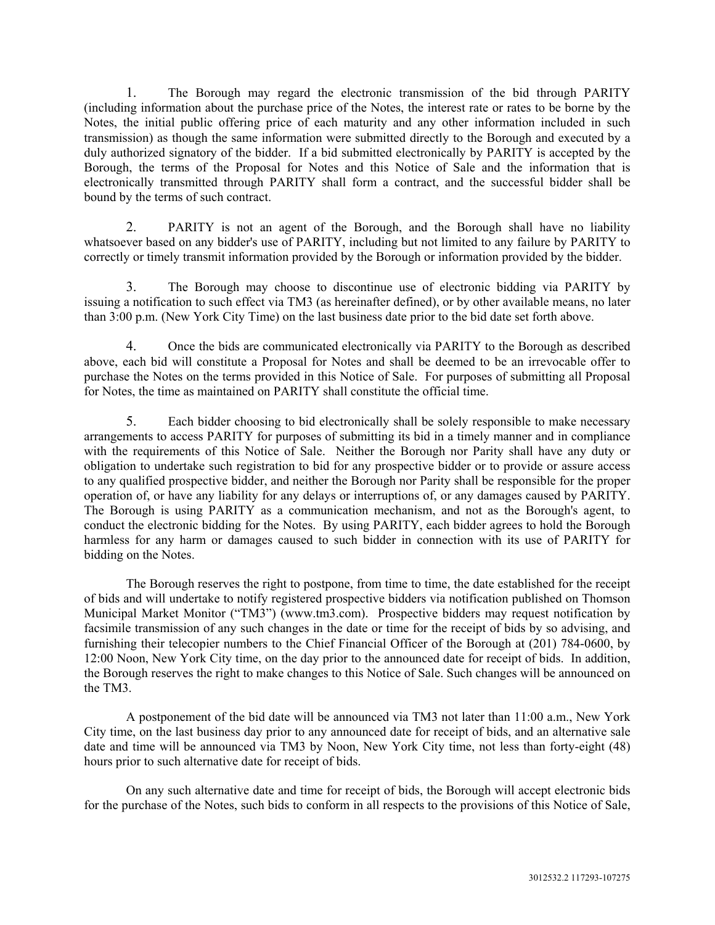1. The Borough may regard the electronic transmission of the bid through PARITY (including information about the purchase price of the Notes, the interest rate or rates to be borne by the Notes, the initial public offering price of each maturity and any other information included in such transmission) as though the same information were submitted directly to the Borough and executed by a duly authorized signatory of the bidder. If a bid submitted electronically by PARITY is accepted by the Borough, the terms of the Proposal for Notes and this Notice of Sale and the information that is electronically transmitted through PARITY shall form a contract, and the successful bidder shall be bound by the terms of such contract.

2. PARITY is not an agent of the Borough, and the Borough shall have no liability whatsoever based on any bidder's use of PARITY, including but not limited to any failure by PARITY to correctly or timely transmit information provided by the Borough or information provided by the bidder.

3. The Borough may choose to discontinue use of electronic bidding via PARITY by issuing a notification to such effect via TM3 (as hereinafter defined), or by other available means, no later than 3:00 p.m. (New York City Time) on the last business date prior to the bid date set forth above.

4. Once the bids are communicated electronically via PARITY to the Borough as described above, each bid will constitute a Proposal for Notes and shall be deemed to be an irrevocable offer to purchase the Notes on the terms provided in this Notice of Sale. For purposes of submitting all Proposal for Notes, the time as maintained on PARITY shall constitute the official time.

5. Each bidder choosing to bid electronically shall be solely responsible to make necessary arrangements to access PARITY for purposes of submitting its bid in a timely manner and in compliance with the requirements of this Notice of Sale. Neither the Borough nor Parity shall have any duty or obligation to undertake such registration to bid for any prospective bidder or to provide or assure access to any qualified prospective bidder, and neither the Borough nor Parity shall be responsible for the proper operation of, or have any liability for any delays or interruptions of, or any damages caused by PARITY. The Borough is using PARITY as a communication mechanism, and not as the Borough's agent, to conduct the electronic bidding for the Notes. By using PARITY, each bidder agrees to hold the Borough harmless for any harm or damages caused to such bidder in connection with its use of PARITY for bidding on the Notes.

The Borough reserves the right to postpone, from time to time, the date established for the receipt of bids and will undertake to notify registered prospective bidders via notification published on Thomson Municipal Market Monitor ("TM3") (www.tm3.com). Prospective bidders may request notification by facsimile transmission of any such changes in the date or time for the receipt of bids by so advising, and furnishing their telecopier numbers to the Chief Financial Officer of the Borough at (201) 784-0600, by 12:00 Noon, New York City time, on the day prior to the announced date for receipt of bids. In addition, the Borough reserves the right to make changes to this Notice of Sale. Such changes will be announced on the TM3.

A postponement of the bid date will be announced via TM3 not later than 11:00 a.m., New York City time, on the last business day prior to any announced date for receipt of bids, and an alternative sale date and time will be announced via TM3 by Noon, New York City time, not less than forty-eight (48) hours prior to such alternative date for receipt of bids.

On any such alternative date and time for receipt of bids, the Borough will accept electronic bids for the purchase of the Notes, such bids to conform in all respects to the provisions of this Notice of Sale,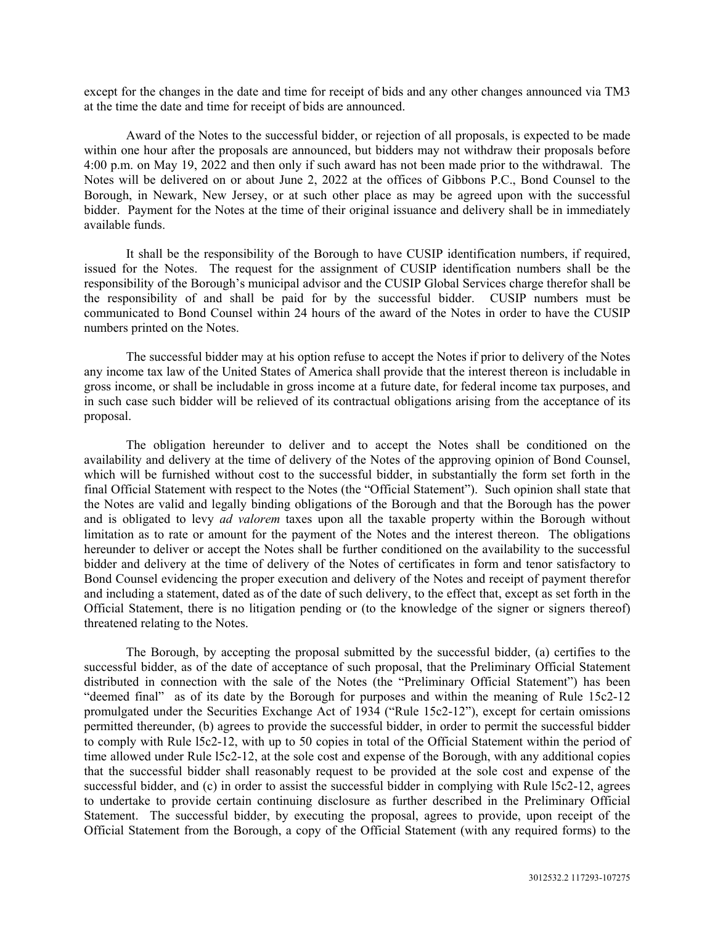except for the changes in the date and time for receipt of bids and any other changes announced via TM3 at the time the date and time for receipt of bids are announced.

Award of the Notes to the successful bidder, or rejection of all proposals, is expected to be made within one hour after the proposals are announced, but bidders may not withdraw their proposals before 4:00 p.m. on May 19, 2022 and then only if such award has not been made prior to the withdrawal. The Notes will be delivered on or about June 2, 2022 at the offices of Gibbons P.C., Bond Counsel to the Borough, in Newark, New Jersey, or at such other place as may be agreed upon with the successful bidder. Payment for the Notes at the time of their original issuance and delivery shall be in immediately available funds.

It shall be the responsibility of the Borough to have CUSIP identification numbers, if required, issued for the Notes. The request for the assignment of CUSIP identification numbers shall be the responsibility of the Borough's municipal advisor and the CUSIP Global Services charge therefor shall be the responsibility of and shall be paid for by the successful bidder. CUSIP numbers must be communicated to Bond Counsel within 24 hours of the award of the Notes in order to have the CUSIP numbers printed on the Notes.

The successful bidder may at his option refuse to accept the Notes if prior to delivery of the Notes any income tax law of the United States of America shall provide that the interest thereon is includable in gross income, or shall be includable in gross income at a future date, for federal income tax purposes, and in such case such bidder will be relieved of its contractual obligations arising from the acceptance of its proposal.

The obligation hereunder to deliver and to accept the Notes shall be conditioned on the availability and delivery at the time of delivery of the Notes of the approving opinion of Bond Counsel, which will be furnished without cost to the successful bidder, in substantially the form set forth in the final Official Statement with respect to the Notes (the "Official Statement"). Such opinion shall state that the Notes are valid and legally binding obligations of the Borough and that the Borough has the power and is obligated to levy *ad valorem* taxes upon all the taxable property within the Borough without limitation as to rate or amount for the payment of the Notes and the interest thereon. The obligations hereunder to deliver or accept the Notes shall be further conditioned on the availability to the successful bidder and delivery at the time of delivery of the Notes of certificates in form and tenor satisfactory to Bond Counsel evidencing the proper execution and delivery of the Notes and receipt of payment therefor and including a statement, dated as of the date of such delivery, to the effect that, except as set forth in the Official Statement, there is no litigation pending or (to the knowledge of the signer or signers thereof) threatened relating to the Notes.

The Borough, by accepting the proposal submitted by the successful bidder, (a) certifies to the successful bidder, as of the date of acceptance of such proposal, that the Preliminary Official Statement distributed in connection with the sale of the Notes (the "Preliminary Official Statement") has been "deemed final" as of its date by the Borough for purposes and within the meaning of Rule 15c2-12 promulgated under the Securities Exchange Act of 1934 ("Rule 15c2-12"), except for certain omissions permitted thereunder, (b) agrees to provide the successful bidder, in order to permit the successful bidder to comply with Rule l5c2-12, with up to 50 copies in total of the Official Statement within the period of time allowed under Rule l5c2-12, at the sole cost and expense of the Borough, with any additional copies that the successful bidder shall reasonably request to be provided at the sole cost and expense of the successful bidder, and (c) in order to assist the successful bidder in complying with Rule 15c2-12, agrees to undertake to provide certain continuing disclosure as further described in the Preliminary Official Statement. The successful bidder, by executing the proposal, agrees to provide, upon receipt of the Official Statement from the Borough, a copy of the Official Statement (with any required forms) to the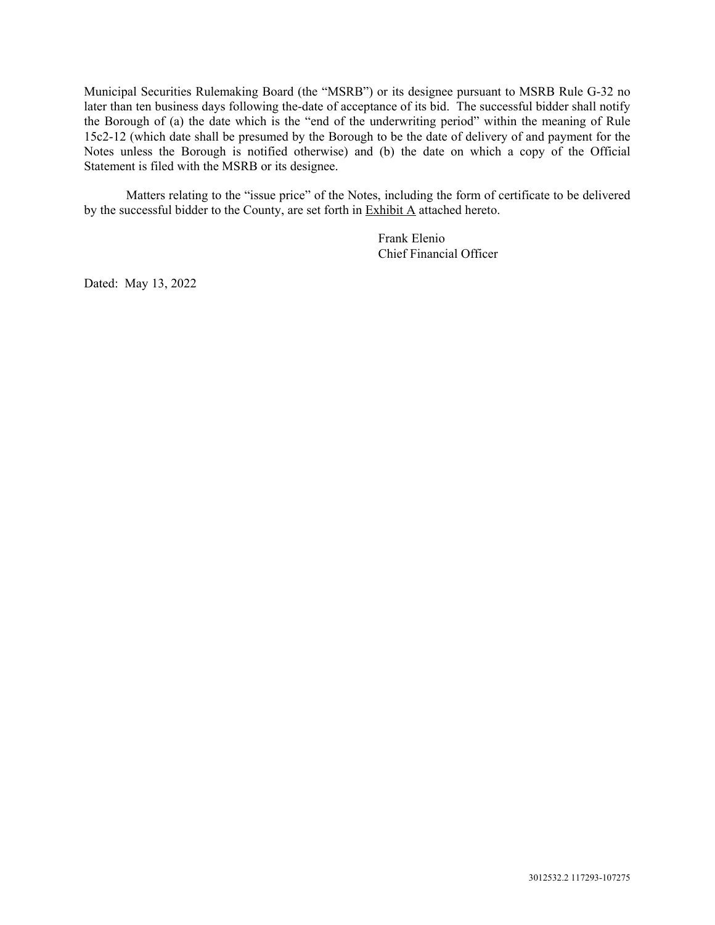Municipal Securities Rulemaking Board (the "MSRB") or its designee pursuant to MSRB Rule G-32 no later than ten business days following the-date of acceptance of its bid. The successful bidder shall notify the Borough of (a) the date which is the "end of the underwriting period" within the meaning of Rule 15c2-12 (which date shall be presumed by the Borough to be the date of delivery of and payment for the Notes unless the Borough is notified otherwise) and (b) the date on which a copy of the Official Statement is filed with the MSRB or its designee.

Matters relating to the "issue price" of the Notes, including the form of certificate to be delivered by the successful bidder to the County, are set forth in Exhibit A attached hereto.

> Frank Elenio Chief Financial Officer

Dated: May 13, 2022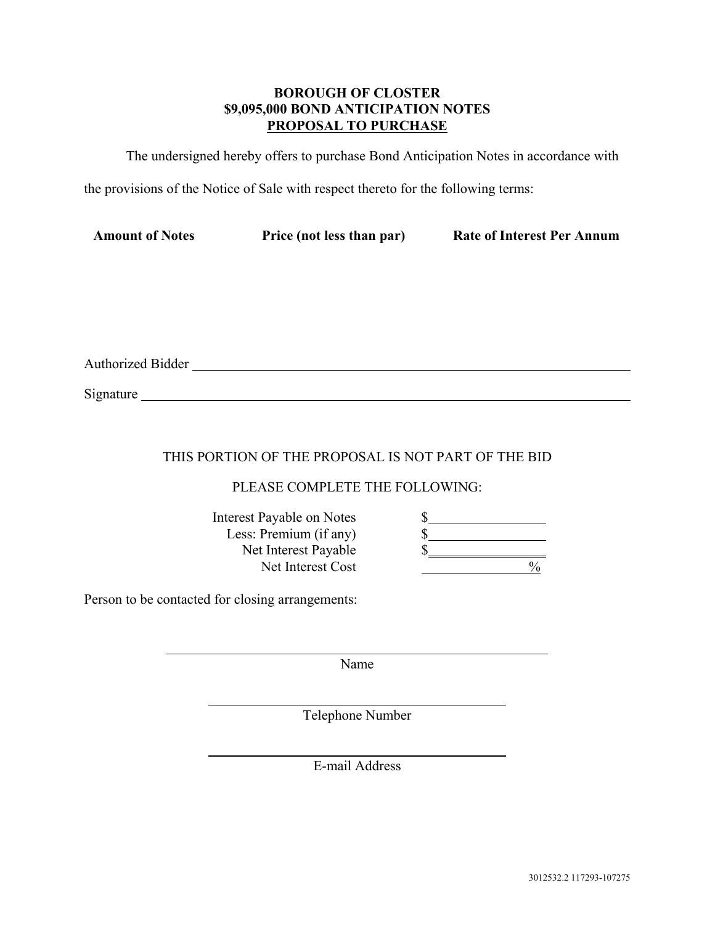## **BOROUGH OF CLOSTER \$9,095,000 BOND ANTICIPATION NOTES PROPOSAL TO PURCHASE**

The undersigned hereby offers to purchase Bond Anticipation Notes in accordance with

the provisions of the Notice of Sale with respect thereto for the following terms:

| <b>Amount of Notes</b> | Price (not less than par) | <b>Rate of Interest Per Annum</b> |
|------------------------|---------------------------|-----------------------------------|
|                        |                           |                                   |

Authorized Bidder

Signature

## THIS PORTION OF THE PROPOSAL IS NOT PART OF THE BID

### PLEASE COMPLETE THE FOLLOWING:

| <b>Interest Payable on Notes</b> |  |
|----------------------------------|--|
| Less: Premium (if any)           |  |
| Net Interest Payable             |  |
| Net Interest Cost                |  |

 $\frac{0}{6}$ 

Person to be contacted for closing arrangements:

Name

Telephone Number

E-mail Address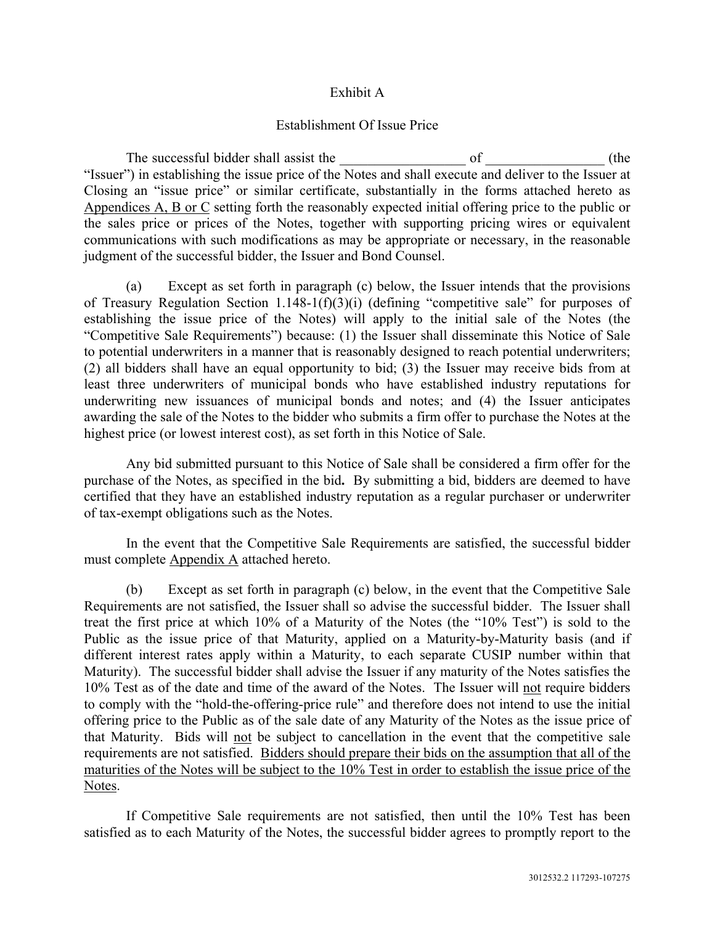### Exhibit A

### Establishment Of Issue Price

The successful bidder shall assist the \_\_\_\_\_\_\_\_\_\_\_\_\_\_\_\_\_\_ of \_\_\_\_\_\_\_\_\_\_\_\_\_\_\_\_\_ (the "Issuer") in establishing the issue price of the Notes and shall execute and deliver to the Issuer at Closing an "issue price" or similar certificate, substantially in the forms attached hereto as Appendices A, B or C setting forth the reasonably expected initial offering price to the public or the sales price or prices of the Notes, together with supporting pricing wires or equivalent communications with such modifications as may be appropriate or necessary, in the reasonable judgment of the successful bidder, the Issuer and Bond Counsel.

(a) Except as set forth in paragraph (c) below, the Issuer intends that the provisions of Treasury Regulation Section 1.148-1(f)(3)(i) (defining "competitive sale" for purposes of establishing the issue price of the Notes) will apply to the initial sale of the Notes (the "Competitive Sale Requirements") because: (1) the Issuer shall disseminate this Notice of Sale to potential underwriters in a manner that is reasonably designed to reach potential underwriters; (2) all bidders shall have an equal opportunity to bid; (3) the Issuer may receive bids from at least three underwriters of municipal bonds who have established industry reputations for underwriting new issuances of municipal bonds and notes; and (4) the Issuer anticipates awarding the sale of the Notes to the bidder who submits a firm offer to purchase the Notes at the highest price (or lowest interest cost), as set forth in this Notice of Sale.

Any bid submitted pursuant to this Notice of Sale shall be considered a firm offer for the purchase of the Notes, as specified in the bid**.** By submitting a bid, bidders are deemed to have certified that they have an established industry reputation as a regular purchaser or underwriter of tax-exempt obligations such as the Notes.

In the event that the Competitive Sale Requirements are satisfied, the successful bidder must complete Appendix A attached hereto.

(b) Except as set forth in paragraph (c) below, in the event that the Competitive Sale Requirements are not satisfied, the Issuer shall so advise the successful bidder. The Issuer shall treat the first price at which 10% of a Maturity of the Notes (the "10% Test") is sold to the Public as the issue price of that Maturity, applied on a Maturity-by-Maturity basis (and if different interest rates apply within a Maturity, to each separate CUSIP number within that Maturity). The successful bidder shall advise the Issuer if any maturity of the Notes satisfies the 10% Test as of the date and time of the award of the Notes. The Issuer will not require bidders to comply with the "hold-the-offering-price rule" and therefore does not intend to use the initial offering price to the Public as of the sale date of any Maturity of the Notes as the issue price of that Maturity. Bids will not be subject to cancellation in the event that the competitive sale requirements are not satisfied. Bidders should prepare their bids on the assumption that all of the maturities of the Notes will be subject to the 10% Test in order to establish the issue price of the Notes.

If Competitive Sale requirements are not satisfied, then until the 10% Test has been satisfied as to each Maturity of the Notes, the successful bidder agrees to promptly report to the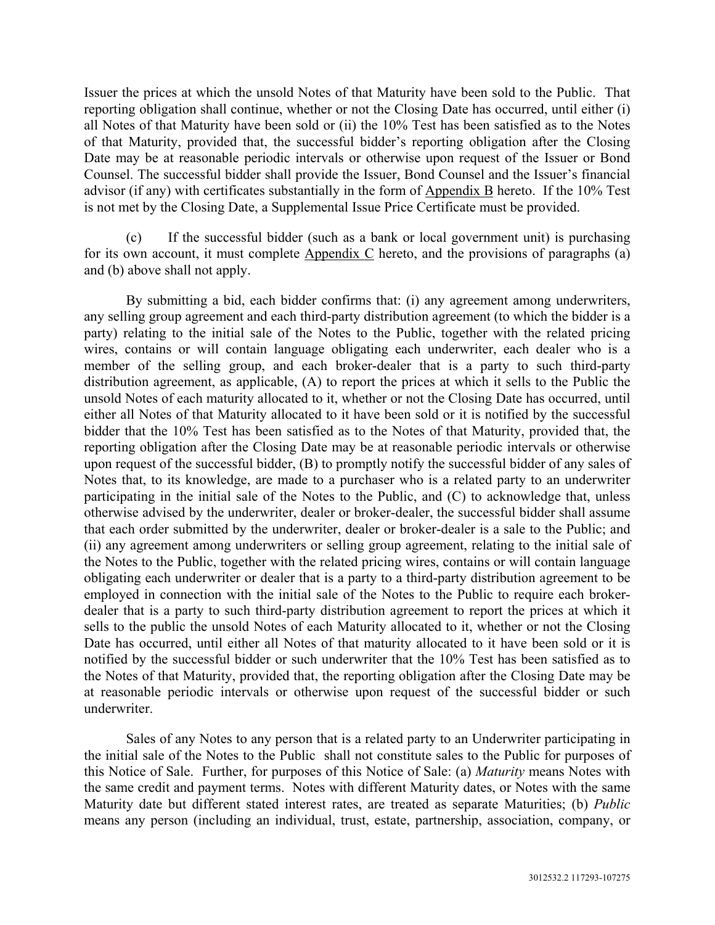Issuer the prices at which the unsold Notes of that Maturity have been sold to the Public. That reporting obligation shall continue, whether or not the Closing Date has occurred, until either (i) all Notes of that Maturity have been sold or (ii) the 10% Test has been satisfied as to the Notes of that Maturity, provided that, the successful bidder's reporting obligation after the Closing Date may be at reasonable periodic intervals or otherwise upon request of the Issuer or Bond Counsel. The successful bidder shall provide the Issuer, Bond Counsel and the Issuer's financial advisor (if any) with certificates substantially in the form of Appendix B hereto. If the 10% Test is not met by the Closing Date, a Supplemental Issue Price Certificate must be provided.

(c) If the successful bidder (such as a bank or local government unit) is purchasing for its own account, it must complete Appendix C hereto, and the provisions of paragraphs (a) and (b) above shall not apply.

By submitting a bid, each bidder confirms that: (i) any agreement among underwriters, any selling group agreement and each third-party distribution agreement (to which the bidder is a party) relating to the initial sale of the Notes to the Public, together with the related pricing wires, contains or will contain language obligating each underwriter, each dealer who is a member of the selling group, and each broker-dealer that is a party to such third-party distribution agreement, as applicable, (A) to report the prices at which it sells to the Public the unsold Notes of each maturity allocated to it, whether or not the Closing Date has occurred, until either all Notes of that Maturity allocated to it have been sold or it is notified by the successful bidder that the 10% Test has been satisfied as to the Notes of that Maturity, provided that, the reporting obligation after the Closing Date may be at reasonable periodic intervals or otherwise upon request of the successful bidder, (B) to promptly notify the successful bidder of any sales of Notes that, to its knowledge, are made to a purchaser who is a related party to an underwriter participating in the initial sale of the Notes to the Public, and (C) to acknowledge that, unless otherwise advised by the underwriter, dealer or broker-dealer, the successful bidder shall assume that each order submitted by the underwriter, dealer or broker-dealer is a sale to the Public; and (ii) any agreement among underwriters or selling group agreement, relating to the initial sale of the Notes to the Public, together with the related pricing wires, contains or will contain language obligating each underwriter or dealer that is a party to a third-party distribution agreement to be employed in connection with the initial sale of the Notes to the Public to require each brokerdealer that is a party to such third-party distribution agreement to report the prices at which it sells to the public the unsold Notes of each Maturity allocated to it, whether or not the Closing Date has occurred, until either all Notes of that maturity allocated to it have been sold or it is notified by the successful bidder or such underwriter that the 10% Test has been satisfied as to the Notes of that Maturity, provided that, the reporting obligation after the Closing Date may be at reasonable periodic intervals or otherwise upon request of the successful bidder or such underwriter.

Sales of any Notes to any person that is a related party to an Underwriter participating in the initial sale of the Notes to the Public shall not constitute sales to the Public for purposes of this Notice of Sale. Further, for purposes of this Notice of Sale: (a) *Maturity* means Notes with the same credit and payment terms. Notes with different Maturity dates, or Notes with the same Maturity date but different stated interest rates, are treated as separate Maturities; (b) *Public*  means any person (including an individual, trust, estate, partnership, association, company, or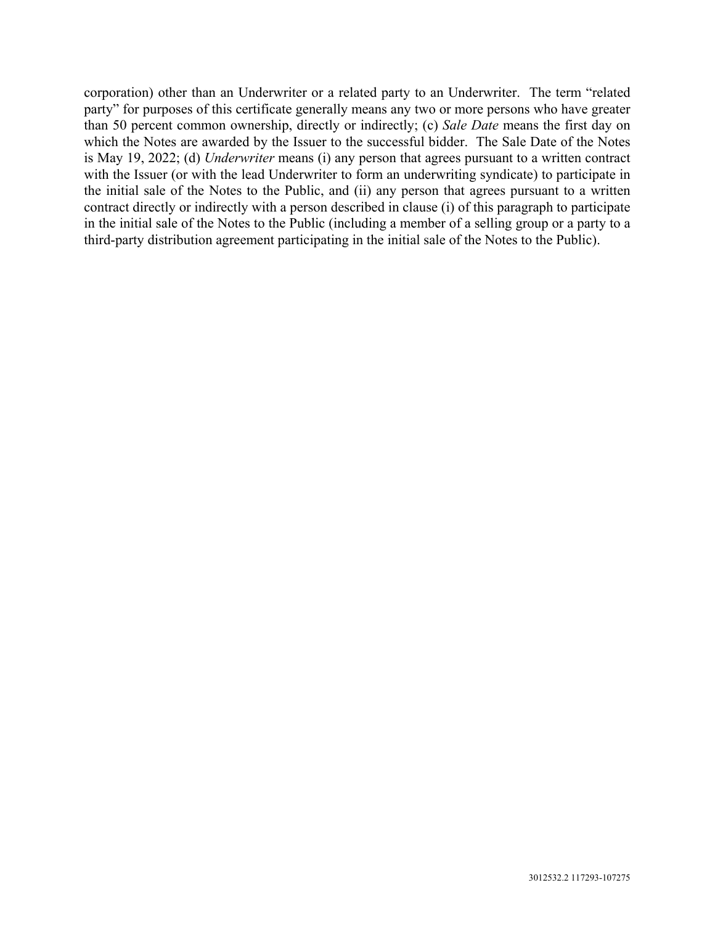corporation) other than an Underwriter or a related party to an Underwriter. The term "related party" for purposes of this certificate generally means any two or more persons who have greater than 50 percent common ownership, directly or indirectly; (c) *Sale Date* means the first day on which the Notes are awarded by the Issuer to the successful bidder. The Sale Date of the Notes is May 19, 2022; (d) *Underwriter* means (i) any person that agrees pursuant to a written contract with the Issuer (or with the lead Underwriter to form an underwriting syndicate) to participate in the initial sale of the Notes to the Public, and (ii) any person that agrees pursuant to a written contract directly or indirectly with a person described in clause (i) of this paragraph to participate in the initial sale of the Notes to the Public (including a member of a selling group or a party to a third-party distribution agreement participating in the initial sale of the Notes to the Public).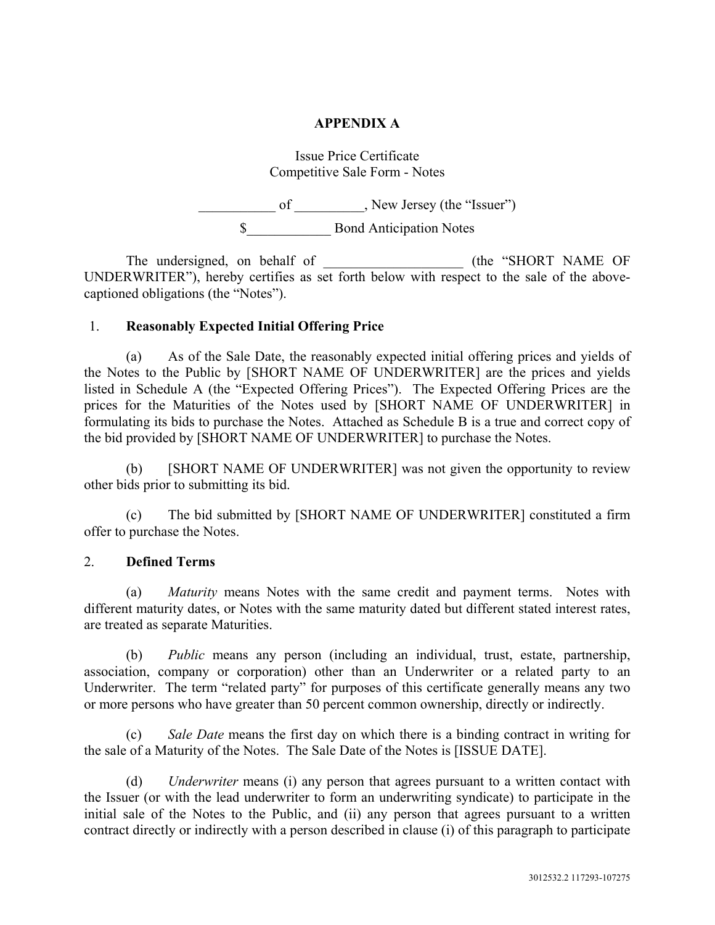### **APPENDIX A**

## Issue Price Certificate Competitive Sale Form - Notes

\_\_\_\_\_\_\_\_\_\_\_ of \_\_\_\_\_\_\_\_\_\_, New Jersey (the "Issuer") \$ Bond Anticipation Notes

The undersigned, on behalf of \_\_\_\_\_\_\_\_\_\_\_\_\_\_\_\_\_\_\_\_\_\_\_ (the "SHORT NAME OF UNDERWRITER"), hereby certifies as set forth below with respect to the sale of the abovecaptioned obligations (the "Notes").

### 1. **Reasonably Expected Initial Offering Price**

(a) As of the Sale Date, the reasonably expected initial offering prices and yields of the Notes to the Public by [SHORT NAME OF UNDERWRITER] are the prices and yields listed in Schedule A (the "Expected Offering Prices"). The Expected Offering Prices are the prices for the Maturities of the Notes used by [SHORT NAME OF UNDERWRITER] in formulating its bids to purchase the Notes. Attached as Schedule B is a true and correct copy of the bid provided by [SHORT NAME OF UNDERWRITER] to purchase the Notes.

(b) [SHORT NAME OF UNDERWRITER] was not given the opportunity to review other bids prior to submitting its bid.

(c) The bid submitted by [SHORT NAME OF UNDERWRITER] constituted a firm offer to purchase the Notes.

### 2. **Defined Terms**

(a) *Maturity* means Notes with the same credit and payment terms. Notes with different maturity dates, or Notes with the same maturity dated but different stated interest rates, are treated as separate Maturities.

(b) *Public* means any person (including an individual, trust, estate, partnership, association, company or corporation) other than an Underwriter or a related party to an Underwriter. The term "related party" for purposes of this certificate generally means any two or more persons who have greater than 50 percent common ownership, directly or indirectly.

Sale Date means the first day on which there is a binding contract in writing for the sale of a Maturity of the Notes. The Sale Date of the Notes is [ISSUE DATE].

(d) *Underwriter* means (i) any person that agrees pursuant to a written contact with the Issuer (or with the lead underwriter to form an underwriting syndicate) to participate in the initial sale of the Notes to the Public, and (ii) any person that agrees pursuant to a written contract directly or indirectly with a person described in clause (i) of this paragraph to participate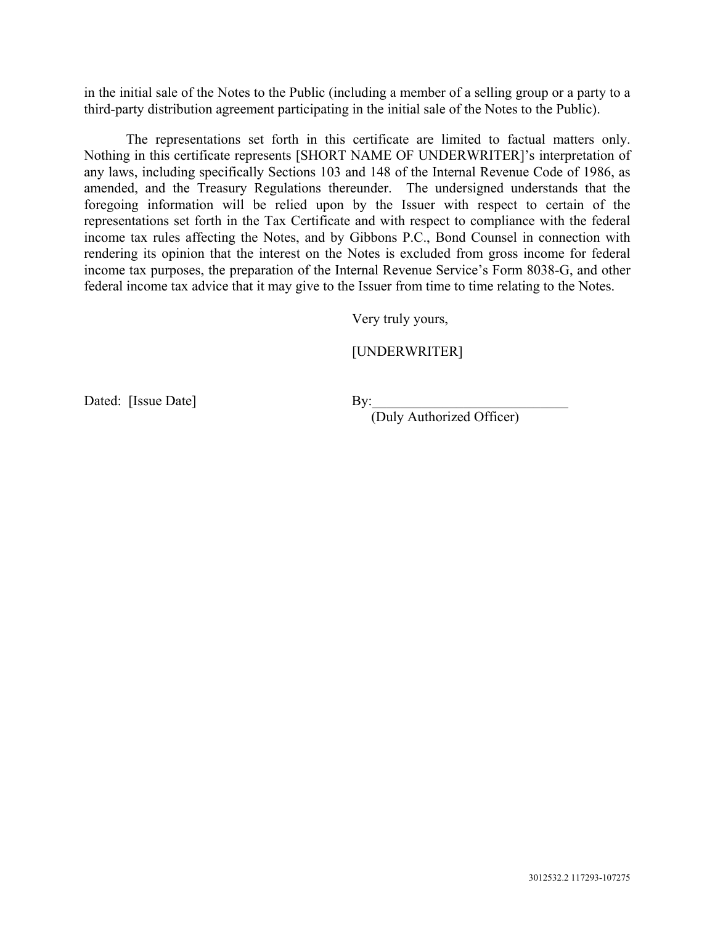in the initial sale of the Notes to the Public (including a member of a selling group or a party to a third-party distribution agreement participating in the initial sale of the Notes to the Public).

 The representations set forth in this certificate are limited to factual matters only. Nothing in this certificate represents [SHORT NAME OF UNDERWRITER]'s interpretation of any laws, including specifically Sections 103 and 148 of the Internal Revenue Code of 1986, as amended, and the Treasury Regulations thereunder. The undersigned understands that the foregoing information will be relied upon by the Issuer with respect to certain of the representations set forth in the Tax Certificate and with respect to compliance with the federal income tax rules affecting the Notes, and by Gibbons P.C., Bond Counsel in connection with rendering its opinion that the interest on the Notes is excluded from gross income for federal income tax purposes, the preparation of the Internal Revenue Service's Form 8038-G, and other federal income tax advice that it may give to the Issuer from time to time relating to the Notes.

Very truly yours,

### [UNDERWRITER]

Dated: [Issue Date] By:

(Duly Authorized Officer)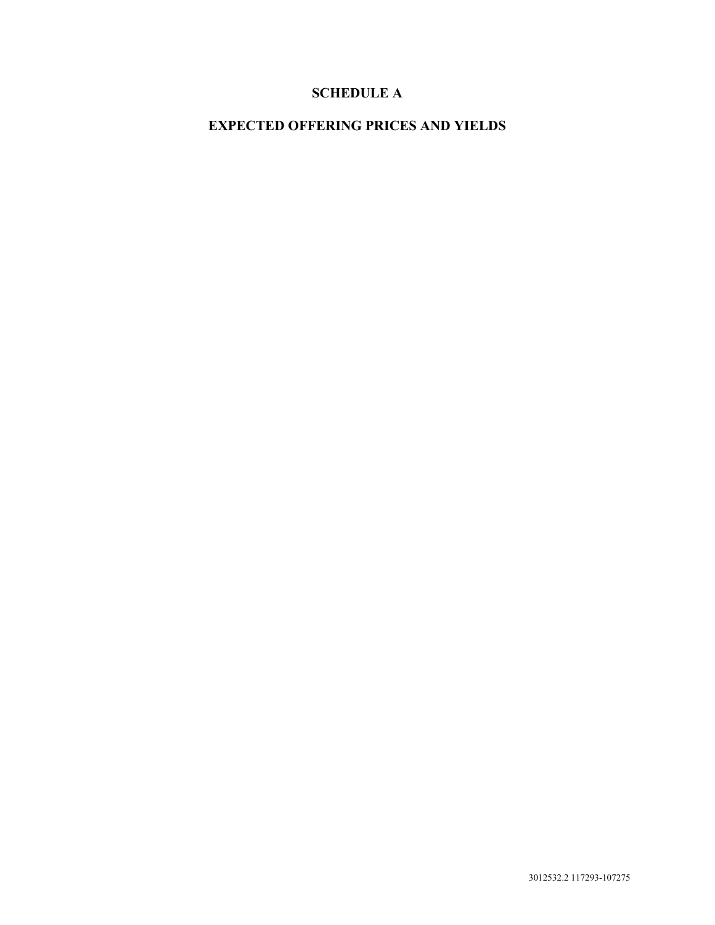# **SCHEDULE A**

# **EXPECTED OFFERING PRICES AND YIELDS**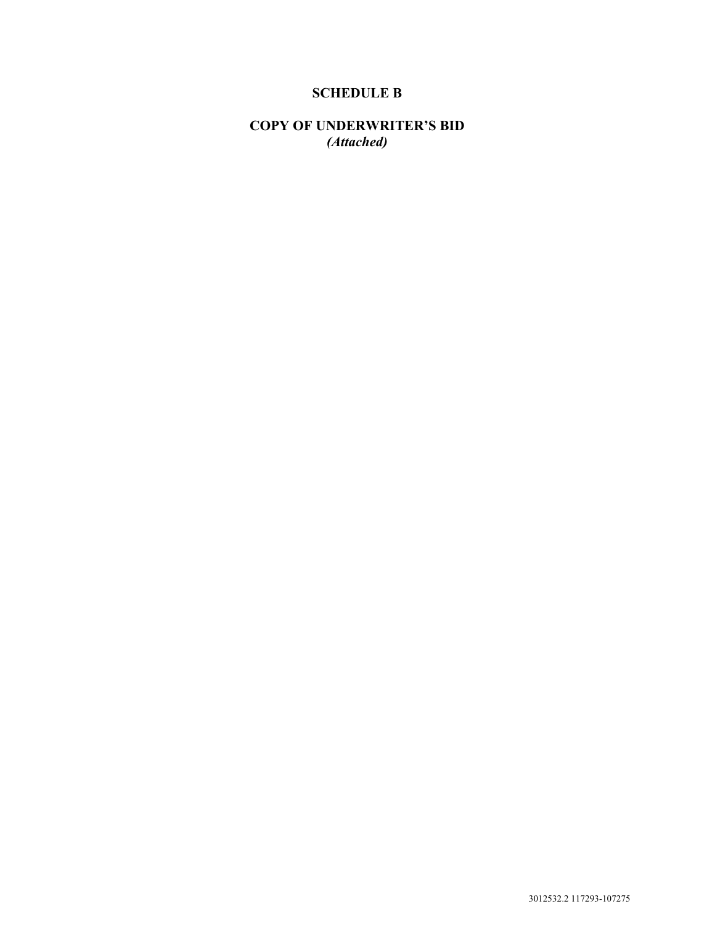# **SCHEDULE B**

**COPY OF UNDERWRITER'S BID**  *(Attached)*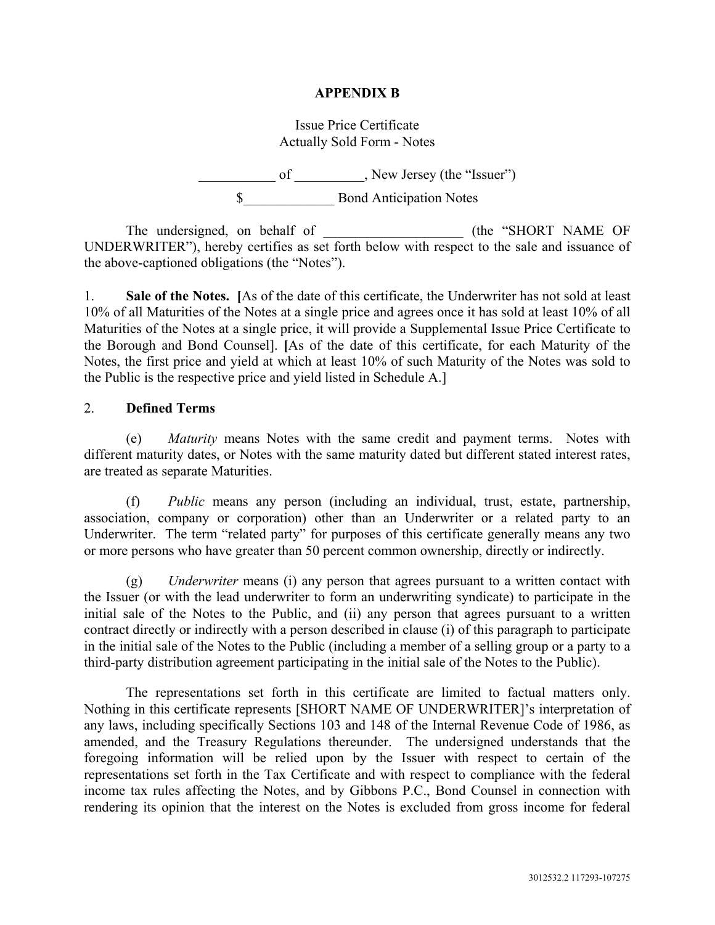### **APPENDIX B**

### Issue Price Certificate Actually Sold Form - Notes

\_\_\_\_\_\_\_\_\_\_\_ of \_\_\_\_\_\_\_\_\_\_, New Jersey (the "Issuer") \$\_\_\_\_\_\_\_\_\_\_\_\_\_ Bond Anticipation Notes

The undersigned, on behalf of \_\_\_\_\_\_\_\_\_\_\_\_\_\_\_\_\_\_\_\_\_\_\_ (the "SHORT NAME OF UNDERWRITER"), hereby certifies as set forth below with respect to the sale and issuance of the above-captioned obligations (the "Notes").

1. **Sale of the Notes. [**As of the date of this certificate, the Underwriter has not sold at least 10% of all Maturities of the Notes at a single price and agrees once it has sold at least 10% of all Maturities of the Notes at a single price, it will provide a Supplemental Issue Price Certificate to the Borough and Bond Counsel]. **[**As of the date of this certificate, for each Maturity of the Notes, the first price and yield at which at least 10% of such Maturity of the Notes was sold to the Public is the respective price and yield listed in Schedule A.]

### 2. **Defined Terms**

(e) *Maturity* means Notes with the same credit and payment terms. Notes with different maturity dates, or Notes with the same maturity dated but different stated interest rates, are treated as separate Maturities.

(f) *Public* means any person (including an individual, trust, estate, partnership, association, company or corporation) other than an Underwriter or a related party to an Underwriter. The term "related party" for purposes of this certificate generally means any two or more persons who have greater than 50 percent common ownership, directly or indirectly.

(g) *Underwriter* means (i) any person that agrees pursuant to a written contact with the Issuer (or with the lead underwriter to form an underwriting syndicate) to participate in the initial sale of the Notes to the Public, and (ii) any person that agrees pursuant to a written contract directly or indirectly with a person described in clause (i) of this paragraph to participate in the initial sale of the Notes to the Public (including a member of a selling group or a party to a third-party distribution agreement participating in the initial sale of the Notes to the Public).

 The representations set forth in this certificate are limited to factual matters only. Nothing in this certificate represents [SHORT NAME OF UNDERWRITER]'s interpretation of any laws, including specifically Sections 103 and 148 of the Internal Revenue Code of 1986, as amended, and the Treasury Regulations thereunder. The undersigned understands that the foregoing information will be relied upon by the Issuer with respect to certain of the representations set forth in the Tax Certificate and with respect to compliance with the federal income tax rules affecting the Notes, and by Gibbons P.C., Bond Counsel in connection with rendering its opinion that the interest on the Notes is excluded from gross income for federal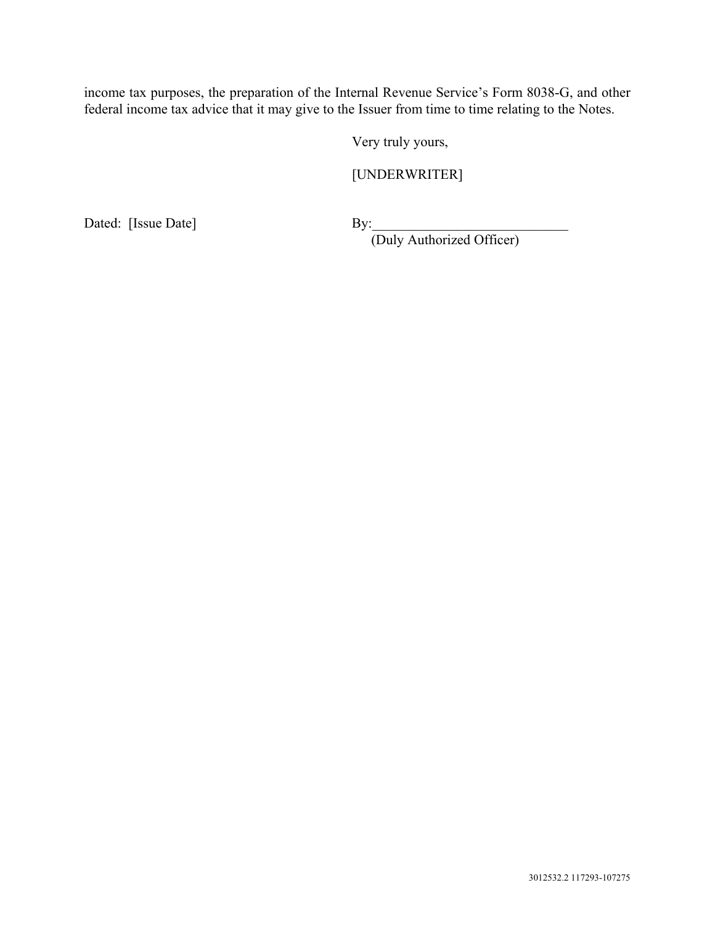income tax purposes, the preparation of the Internal Revenue Service's Form 8038-G, and other federal income tax advice that it may give to the Issuer from time to time relating to the Notes.

Very truly yours,

[UNDERWRITER]

Dated: [Issue Date] By:

(Duly Authorized Officer)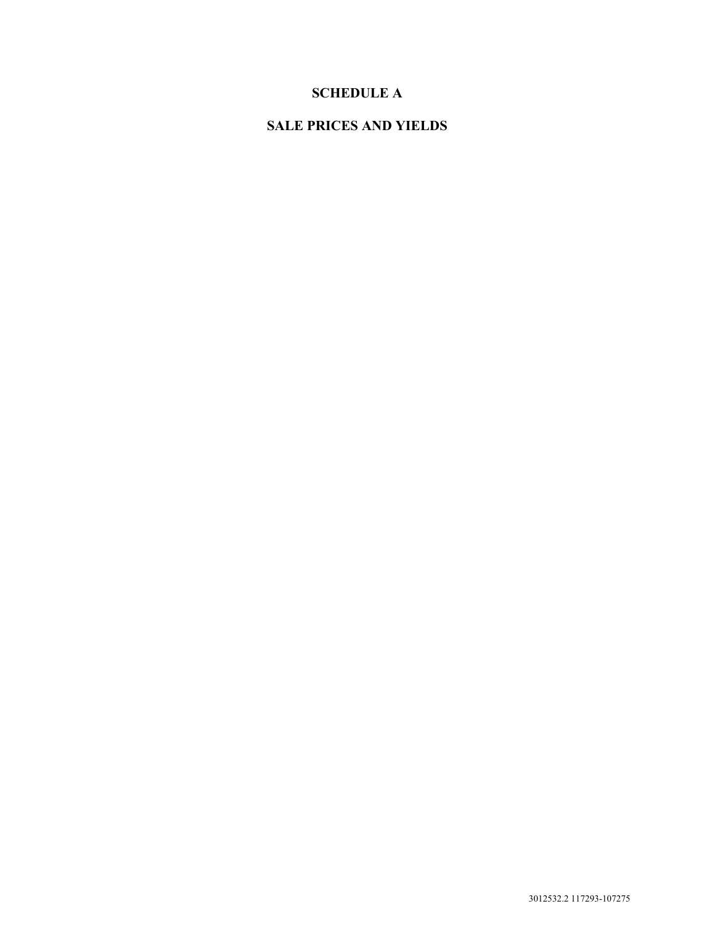# **SCHEDULE A**

# **SALE PRICES AND YIELDS**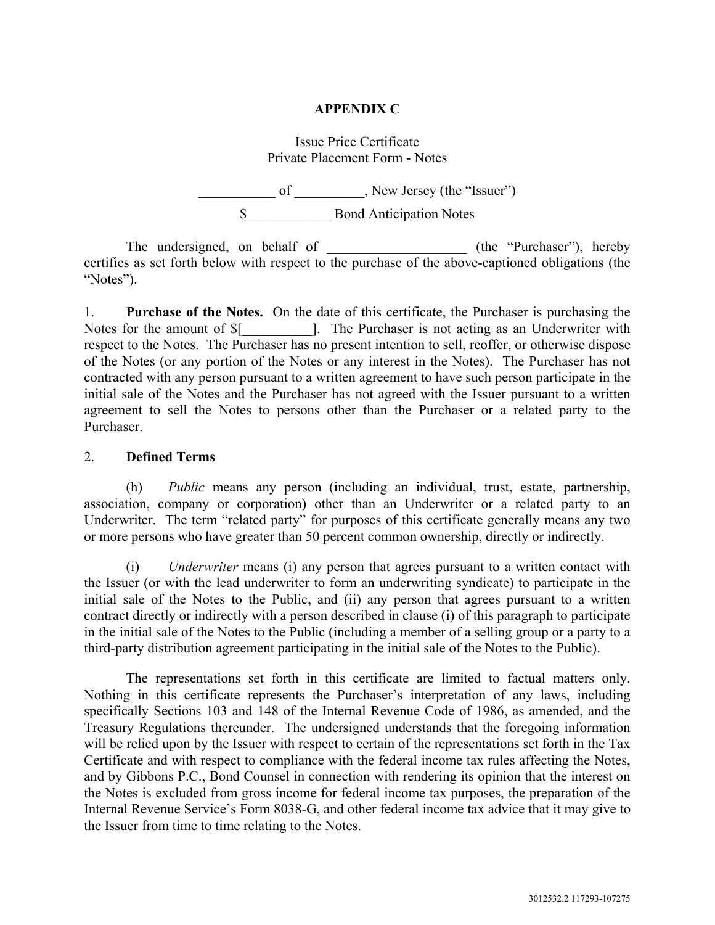### **APPENDIX C**

## Issue Price Certificate Private Placement Form - Notes

 $\frac{1}{\sqrt{2\pi}}$  of \_\_\_\_\_\_\_\_\_\_, New Jersey (the "Issuer") \$ Bond Anticipation Notes

The undersigned, on behalf of \_\_\_\_\_\_\_\_\_\_\_\_\_\_\_\_\_\_\_\_\_ (the "Purchaser"), hereby certifies as set forth below with respect to the purchase of the above-captioned obligations (the "Notes").

1. **Purchase of the Notes.** On the date of this certificate, the Purchaser is purchasing the Notes for the amount of  $\{\$  |. The Purchaser is not acting as an Underwriter with respect to the Notes. The Purchaser has no present intention to sell, reoffer, or otherwise dispose of the Notes (or any portion of the Notes or any interest in the Notes). The Purchaser has not contracted with any person pursuant to a written agreement to have such person participate in the initial sale of the Notes and the Purchaser has not agreed with the Issuer pursuant to a written agreement to sell the Notes to persons other than the Purchaser or a related party to the Purchaser.

### 2. **Defined Terms**

(h) *Public* means any person (including an individual, trust, estate, partnership, association, company or corporation) other than an Underwriter or a related party to an Underwriter. The term "related party" for purposes of this certificate generally means any two or more persons who have greater than 50 percent common ownership, directly or indirectly.

(i) *Underwriter* means (i) any person that agrees pursuant to a written contact with the Issuer (or with the lead underwriter to form an underwriting syndicate) to participate in the initial sale of the Notes to the Public, and (ii) any person that agrees pursuant to a written contract directly or indirectly with a person described in clause (i) of this paragraph to participate in the initial sale of the Notes to the Public (including a member of a selling group or a party to a third-party distribution agreement participating in the initial sale of the Notes to the Public).

 The representations set forth in this certificate are limited to factual matters only. Nothing in this certificate represents the Purchaser's interpretation of any laws, including specifically Sections 103 and 148 of the Internal Revenue Code of 1986, as amended, and the Treasury Regulations thereunder. The undersigned understands that the foregoing information will be relied upon by the Issuer with respect to certain of the representations set forth in the Tax Certificate and with respect to compliance with the federal income tax rules affecting the Notes, and by Gibbons P.C., Bond Counsel in connection with rendering its opinion that the interest on the Notes is excluded from gross income for federal income tax purposes, the preparation of the Internal Revenue Service's Form 8038-G, and other federal income tax advice that it may give to the Issuer from time to time relating to the Notes.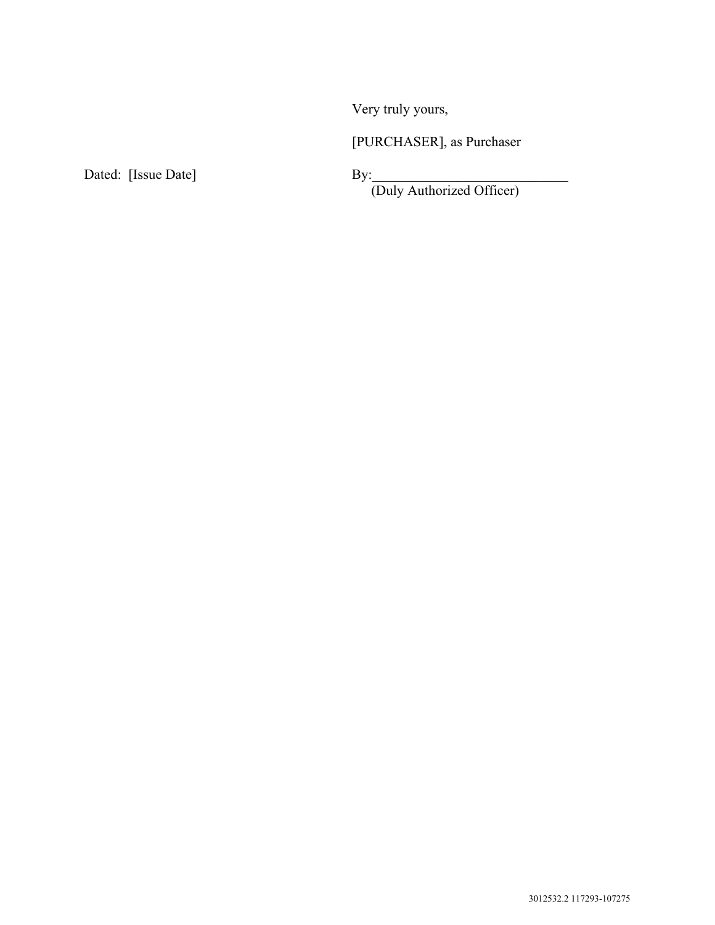Very truly yours,

[PURCHASER], as Purchaser

Dated: [Issue Date] By:

(Duly Authorized Officer)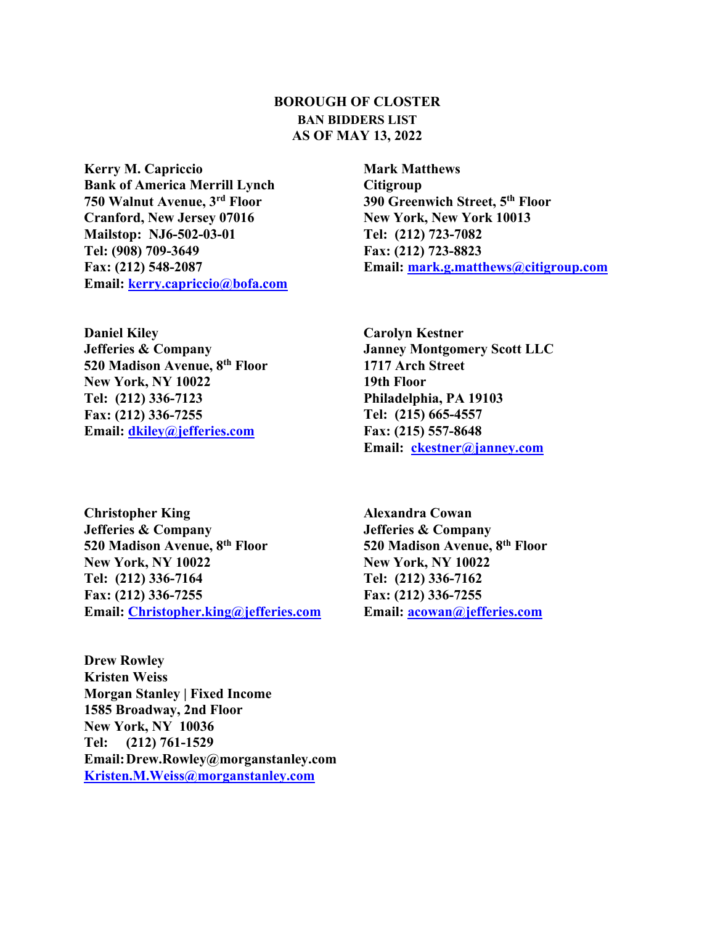## **BOROUGH OF CLOSTER BAN BIDDERS LIST AS OF MAY 13, 2022**

**Kerry M. Capriccio Bank of America Merrill Lynch 750 Walnut Avenue, 3rd Floor Cranford, New Jersey 07016 Mailstop: NJ6-502-03-01 Tel: (908) 709-3649 Fax: (212) 548-2087 Email: kerry.capriccio@bofa.com**

**Daniel Kiley Jefferies & Company 520 Madison Avenue, 8th Floor New York, NY 10022 Tel: (212) 336-7123 Fax: (212) 336-7255 Email: dkiley@jefferies.com**

**Mark Matthews Citigroup 390 Greenwich Street, 5th Floor New York, New York 10013 Tel: (212) 723-7082 Fax: (212) 723-8823 Email: mark.g.matthews@citigroup.com**

**Carolyn Kestner Janney Montgomery Scott LLC 1717 Arch Street 19th Floor Philadelphia, PA 19103 Tel: (215) 665-4557 Fax: (215) 557-8648 Email: ckestner@janney.com**

**Christopher King Jefferies & Company 520 Madison Avenue, 8th Floor New York, NY 10022 Tel: (212) 336-7164 Fax: (212) 336-7255 Email: Christopher.king@jefferies.com**

**Drew Rowley Kristen Weiss Morgan Stanley | Fixed Income 1585 Broadway, 2nd Floor New York, NY 10036 Tel: (212) 761-1529 Email: Drew.Rowley@morganstanley.com Kristen.M.Weiss@morganstanley.com**

**Alexandra Cowan Jefferies & Company 520 Madison Avenue, 8th Floor New York, NY 10022 Tel: (212) 336-7162 Fax: (212) 336-7255 Email: acowan@jefferies.com**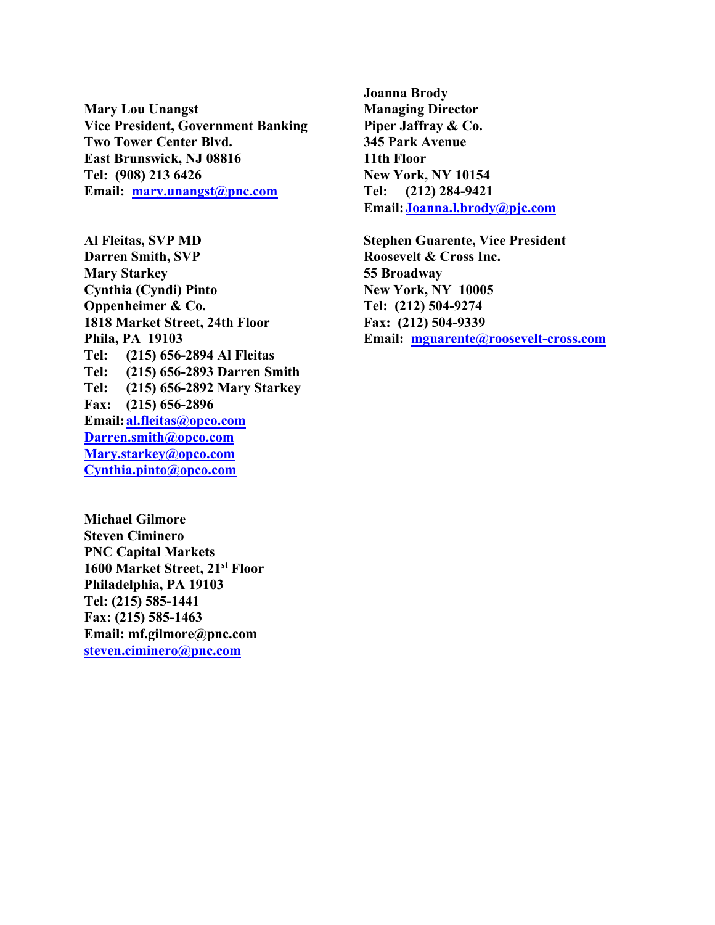**Mary Lou Unangst Vice President, Government Banking Two Tower Center Blvd. East Brunswick, NJ 08816 Tel: (908) 213 6426 Email: mary.unangst@pnc.com**

**Al Fleitas, SVP MD Darren Smith, SVP Mary Starkey Cynthia (Cyndi) Pinto Oppenheimer & Co. 1818 Market Street, 24th Floor Phila, PA 19103 Tel: (215) 656-2894 Al Fleitas Tel: (215) 656-2893 Darren Smith Tel: (215) 656-2892 Mary Starkey Fax: (215) 656-2896 Email: al.fleitas@opco.com Darren.smith@opco.com Mary.starkey@opco.com Cynthia.pinto@opco.com**

**Michael Gilmore Steven Ciminero PNC Capital Markets 1600 Market Street, 21st Floor Philadelphia, PA 19103 Tel: (215) 585-1441 Fax: (215) 585-1463 Email: mf.gilmore@pnc.com steven.ciminero@pnc.com**

**Joanna Brody Managing Director Piper Jaffray & Co. 345 Park Avenue 11th Floor New York, NY 10154 Tel: (212) 284-9421 Email: Joanna.l.brody@pjc.com**

**Stephen Guarente, Vice President Roosevelt & Cross Inc. 55 Broadway New York, NY 10005 Tel: (212) 504-9274 Fax: (212) 504-9339 Email: mguarente@roosevelt-cross.com**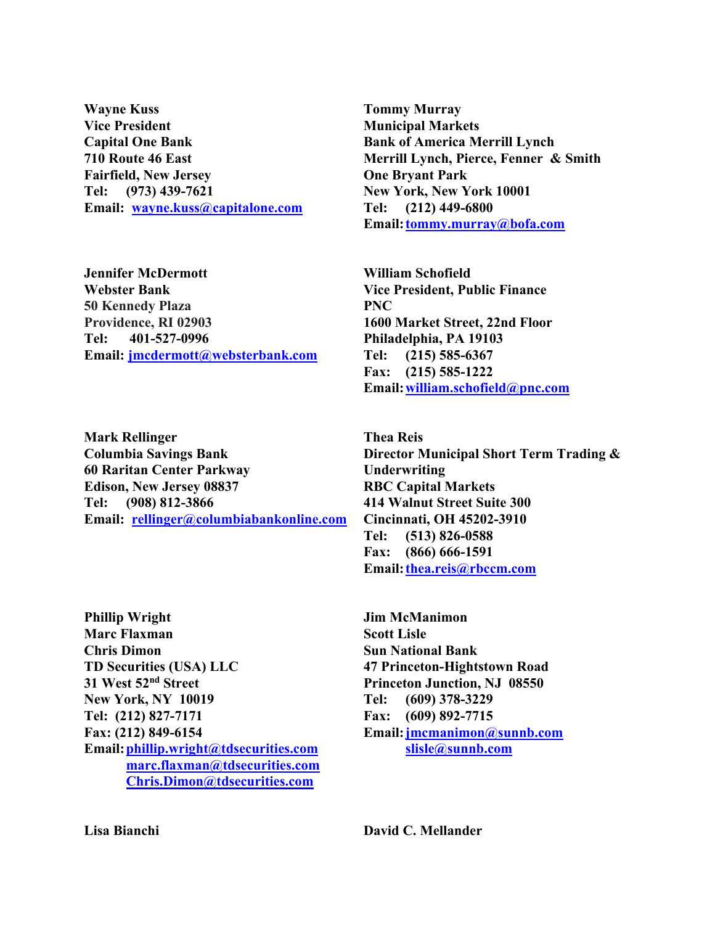**Wayne Kuss Vice President Capital One Bank 710 Route 46 East Fairfield, New Jersey Tel: (973) 439-7621 Email: wayne.kuss@capitalone.com**

**Jennifer McDermott Webster Bank 50 Kennedy Plaza Providence, RI 02903 Tel: 401-527-0996 Email: jmcdermott@websterbank.com**

**Mark Rellinger Columbia Savings Bank 60 Raritan Center Parkway Edison, New Jersey 08837 Tel: (908) 812-3866 Email: rellinger@columbiabankonline.com**

**Phillip Wright Marc Flaxman Chris Dimon TD Securities (USA) LLC 31 West 52nd Street New York, NY 10019 Tel: (212) 827-7171 Fax: (212) 849-6154 Email: phillip.wright@tdsecurities.com marc.flaxman@tdsecurities.com Chris.Dimon@tdsecurities.com**

**Tommy Murray Municipal Markets Bank of America Merrill Lynch Merrill Lynch, Pierce, Fenner & Smith One Bryant Park New York, New York 10001 Tel: (212) 449-6800 Email: tommy.murray@bofa.com**

**William Schofield Vice President, Public Finance PNC 1600 Market Street, 22nd Floor Philadelphia, PA 19103 Tel: (215) 585-6367 Fax: (215) 585-1222 Email: william.schofield@pnc.com**

**Thea Reis Director Municipal Short Term Trading & Underwriting RBC Capital Markets 414 Walnut Street Suite 300 Cincinnati, OH 45202-3910 Tel: (513) 826-0588 Fax: (866) 666-1591 Email: thea.reis@rbccm.com**

**Jim McManimon Scott Lisle Sun National Bank 47 Princeton-Hightstown Road Princeton Junction, NJ 08550 Tel: (609) 378-3229 Fax: (609) 892-7715 Email: jmcmanimon@sunnb.com slisle@sunnb.com**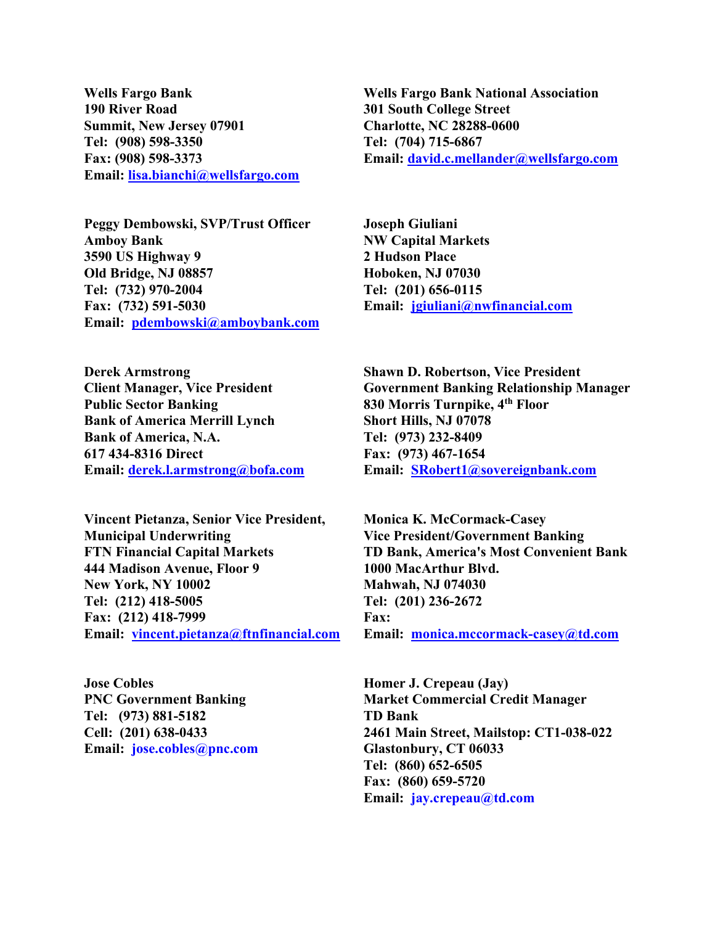**Wells Fargo Bank 190 River Road Summit, New Jersey 07901 Tel: (908) 598-3350 Fax: (908) 598-3373 Email: lisa.bianchi@wellsfargo.com**

**Peggy Dembowski, SVP/Trust Officer Amboy Bank 3590 US Highway 9 Old Bridge, NJ 08857 Tel: (732) 970-2004 Fax: (732) 591-5030 Email: pdembowski@amboybank.com**

**Derek Armstrong Client Manager, Vice President Public Sector Banking Bank of America Merrill Lynch Bank of America, N.A. 617 434-8316 Direct Email: derek.l.armstrong@bofa.com**

**Vincent Pietanza, Senior Vice President, Municipal Underwriting FTN Financial Capital Markets 444 Madison Avenue, Floor 9 New York, NY 10002 Tel: (212) 418-5005 Fax: (212) 418-7999 Email: vincent.pietanza@ftnfinancial.com**

**Jose Cobles PNC Government Banking Tel: (973) 881-5182 Cell: (201) 638-0433 Email: jose.cobles@pnc.com**

**Wells Fargo Bank National Association 301 South College Street Charlotte, NC 28288-0600 Tel: (704) 715-6867 Email: david.c.mellander@wellsfargo.com**

**Joseph Giuliani NW Capital Markets 2 Hudson Place Hoboken, NJ 07030 Tel: (201) 656-0115 Email: jgiuliani@nwfinancial.com**

**Shawn D. Robertson, Vice President Government Banking Relationship Manager 830 Morris Turnpike, 4th Floor Short Hills, NJ 07078 Tel: (973) 232-8409 Fax: (973) 467-1654 Email: SRobert1@sovereignbank.com**

**Monica K. McCormack-Casey Vice President/Government Banking TD Bank, America's Most Convenient Bank 1000 MacArthur Blvd. Mahwah, NJ 074030 Tel: (201) 236-2672 Fax: Email: monica.mccormack-casey@td.com**

**Homer J. Crepeau (Jay) Market Commercial Credit Manager TD Bank 2461 Main Street, Mailstop: CT1-038-022 Glastonbury, CT 06033 Tel: (860) 652-6505 Fax: (860) 659-5720 Email: jay.crepeau@td.com**